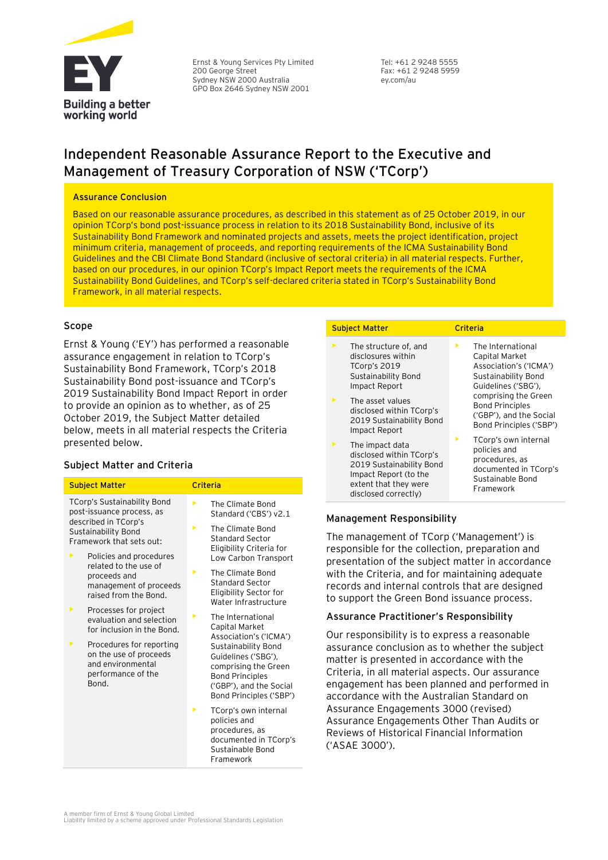

Ernst & Young Services Pty Limited 200 George Street Sydney NSW 2000 Australia GPO Box 2646 Sydney NSW 2001

Tel: +61 2 9248 5555 Fax: +61 2 9248 5959 ey.com/au

## **Independent Reasonable Assurance Report to the Executive and Management of Treasury Corporation of NSW ('TCorp')**

#### **Assurance Conclusion**

Based on our reasonable assurance procedures, as described in this statement as of 25 October 2019, in our opinion TCorp's bond post-issuance process in relation to its 2018 Sustainability Bond, inclusive of its Sustainability Bond Framework and nominated projects and assets, meets the project identification, project minimum criteria, management of proceeds, and reporting requirements of the ICMA Sustainability Bond Guidelines and the CBI Climate Bond Standard (inclusive of sectoral criteria) in all material respects. Further, based on our procedures, in our opinion TCorp's Impact Report meets the requirements of the ICMA Sustainability Bond Guidelines, and TCorp's self-declared criteria stated in TCorp's Sustainability Bond Framework, in all material respects.

#### **Scope**

Ernst & Young ('EY') has performed a reasonable assurance engagement in relation to TCorp's Sustainability Bond Framework, TCorp's 2018 Sustainability Bond post-issuance and TCorp's 2019 Sustainability Bond Impact Report in order to provide an opinion as to whether, as of 25 October 2019, the Subject Matter detailed below, meets in all material respects the Criteria presented below.

### **Subject Matter and Criteria**

| <b>Subject Matter</b>                                                                                                                      |                                                                                                                     | Criteria            |                                                                                                                                                    |  |  |
|--------------------------------------------------------------------------------------------------------------------------------------------|---------------------------------------------------------------------------------------------------------------------|---------------------|----------------------------------------------------------------------------------------------------------------------------------------------------|--|--|
| <b>TCorp's Sustainability Bond</b><br>post-issuance process, as<br>described in TCorp's<br>Sustainability Bond<br>Framework that sets out: |                                                                                                                     | ь                   | The Climate Bond<br>Standard ('CBS') v2.1                                                                                                          |  |  |
|                                                                                                                                            |                                                                                                                     | ь                   | The Climate Bond<br><b>Standard Sector</b>                                                                                                         |  |  |
| ▶                                                                                                                                          | Policies and procedures<br>related to the use of<br>proceeds and<br>management of proceeds<br>raised from the Bond. |                     | Eligibility Criteria for<br>Low Carbon Transport                                                                                                   |  |  |
|                                                                                                                                            |                                                                                                                     | ь                   | The Climate Bond<br><b>Standard Sector</b><br>Eligibility Sector for<br>Water Infrastructure                                                       |  |  |
| ▶                                                                                                                                          | Processes for project<br>evaluation and selection<br>for inclusion in the Bond.                                     | ▶<br>Capital Market | The International<br>Association's ('ICMA')                                                                                                        |  |  |
| ▶                                                                                                                                          | Procedures for reporting<br>on the use of proceeds<br>and environmental<br>performance of the<br>Bond.              |                     | Sustainability Bond<br>Guidelines ('SBG'),<br>comprising the Green<br><b>Bond Principles</b><br>('GBP'), and the Social<br>Bond Principles ('SBP') |  |  |
|                                                                                                                                            |                                                                                                                     | ь                   | TCorp's own internal<br>policies and<br>procedures, as<br>documented in TCorp's<br>Sustainable Bond                                                |  |  |

#### **Subject Matter Criteria**

- The structure of, and disclosures within TCorp's 2019 Sustainability Bond Impact Report
- The asset values disclosed within TCorp's 2019 Sustainability Bond Impact Report
- The impact data disclosed within TCorp's 2019 Sustainability Bond Impact Report (to the extent that they were disclosed correctly)

- The International Capital Market Association's ('ICMA') Sustainability Bond Guidelines ('SBG'), comprising the Green Bond Principles ('GBP'), and the Social Bond Principles ('SBP')
- TCorp's own internal policies and procedures, as documented in TCorp's Sustainable Bond Framework

### **Management Responsibility**

The management of TCorp ('Management') is responsible for the collection, preparation and presentation of the subject matter in accordance with the Criteria, and for maintaining adequate records and internal controls that are designed to support the Green Bond issuance process.

#### **Assurance Practitioner's Responsibility**

Our responsibility is to express a reasonable assurance conclusion as to whether the subject matter is presented in accordance with the Criteria, in all material aspects. Our assurance engagement has been planned and performed in accordance with the Australian Standard on Assurance Engagements 3000 (revised) Assurance Engagements Other Than Audits or Reviews of Historical Financial Information ('ASAE 3000').

Framework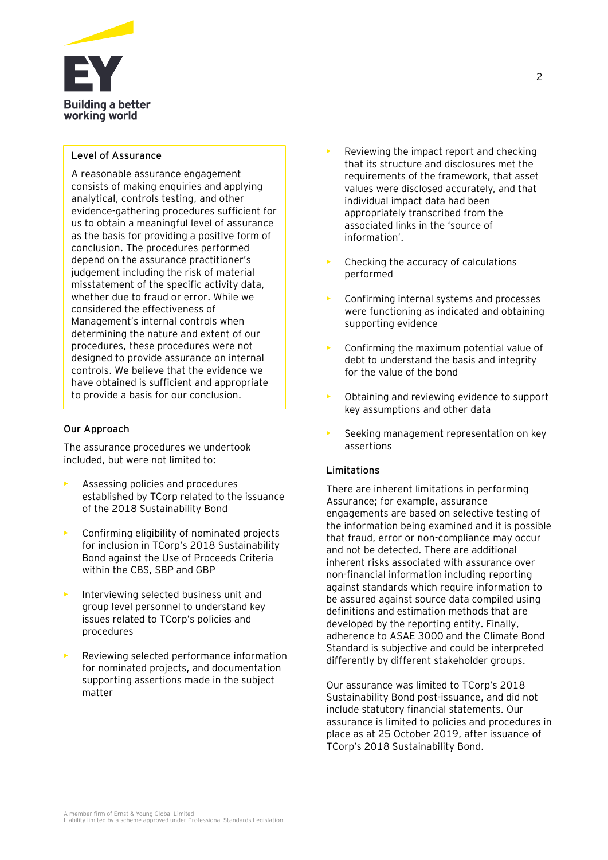

#### **Level of Assurance**

A reasonable assurance engagement consists of making enquiries and applying analytical, controls testing, and other evidence-gathering procedures sufficient for us to obtain a meaningful level of assurance as the basis for providing a positive form of conclusion. The procedures performed depend on the assurance practitioner's judgement including the risk of material misstatement of the specific activity data, whether due to fraud or error. While we considered the effectiveness of Management's internal controls when determining the nature and extent of our procedures, these procedures were not designed to provide assurance on internal controls. We believe that the evidence we have obtained is sufficient and appropriate to provide a basis for our conclusion.

#### **Our Approach**

The assurance procedures we undertook included, but were not limited to:

- Assessing policies and procedures established by TCorp related to the issuance of the 2018 Sustainability Bond
- Confirming eligibility of nominated projects for inclusion in TCorp's 2018 Sustainability Bond against the Use of Proceeds Criteria within the CBS, SBP and GBP
- Interviewing selected business unit and group level personnel to understand key issues related to TCorp's policies and procedures
- Reviewing selected performance information for nominated projects, and documentation supporting assertions made in the subject matter
- Reviewing the impact report and checking that its structure and disclosures met the requirements of the framework, that asset values were disclosed accurately, and that individual impact data had been appropriately transcribed from the associated links in the 'source of information'.
- Checking the accuracy of calculations performed
- Confirming internal systems and processes were functioning as indicated and obtaining supporting evidence
- Confirming the maximum potential value of debt to understand the basis and integrity for the value of the bond
- Obtaining and reviewing evidence to support key assumptions and other data
- Seeking management representation on key assertions

#### **Limitations**

There are inherent limitations in performing Assurance; for example, assurance engagements are based on selective testing of the information being examined and it is possible that fraud, error or non-compliance may occur and not be detected. There are additional inherent risks associated with assurance over non-financial information including reporting against standards which require information to be assured against source data compiled using definitions and estimation methods that are developed by the reporting entity. Finally, adherence to ASAE 3000 and the Climate Bond Standard is subjective and could be interpreted differently by different stakeholder groups.

Our assurance was limited to TCorp's 2018 Sustainability Bond post-issuance, and did not include statutory financial statements. Our assurance is limited to policies and procedures in place as at 25 October 2019, after issuance of TCorp's 2018 Sustainability Bond.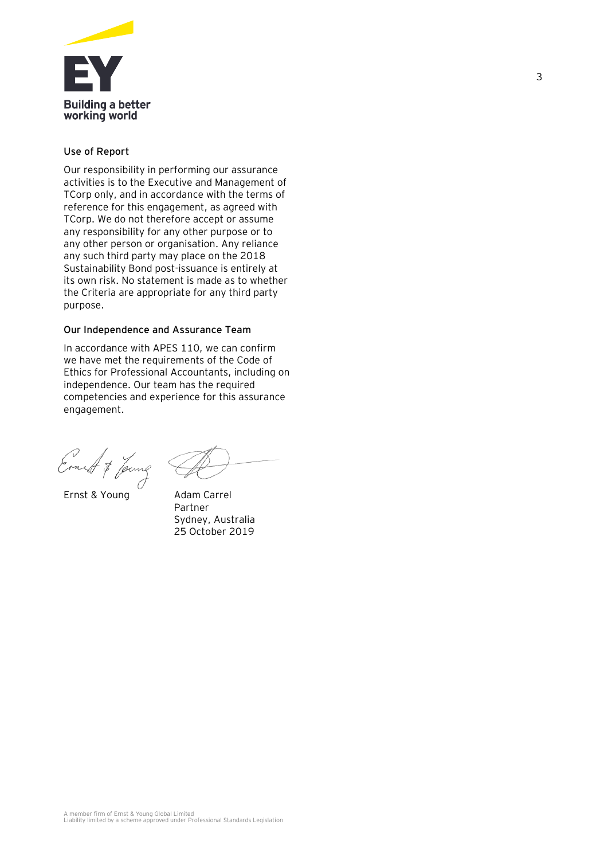

### **Use of Report**

Our responsibility in performing our assurance activities is to the Executive and Management of TCorp only, and in accordance with the terms of reference for this engagement, as agreed with TCorp. We do not therefore accept or assume any responsibility for any other purpose or to any other person or organisation. Any reliance any such third party may place on the 2018 Sustainability Bond post-issuance is entirely at its own risk. No statement is made as to whether the Criteria are appropriate for any third party purpose.

### **Our Independence and Assurance Team**

In accordance with APES 110, we can confirm we have met the requirements of the Code of Ethics for Professional Accountants, including on independence. Our team has the required competencies and experience for this assurance engagement.

Ernest & Jame

Ernst & Young Adam Carrel

Partner Sydney, Australia 25 October 2019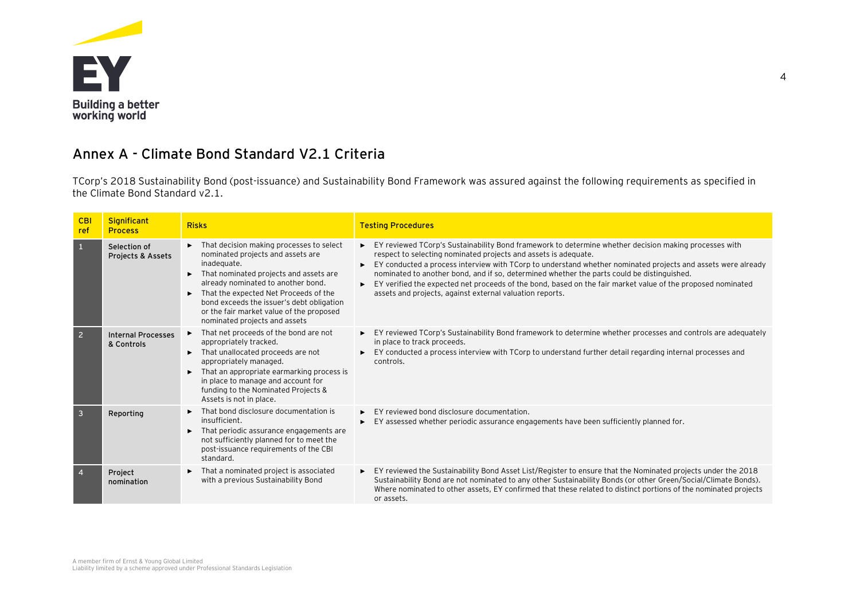

### **Annex A - Climate Bond Standard V2.1 Criteria**

TCorp's 2018 Sustainability Bond (post-issuance) and Sustainability Bond Framework was assured against the following requirements as specified in the Climate Bond Standard v2.1.

| <b>CBI</b><br>ref | <b>Significant</b><br><b>Process</b>    | <b>Risks</b>                                                                                                                                                                                                                                                                                                                                         | <b>Testing Procedures</b>                                                                                                                                                                                                                                                                                                                                                                                                                                                                                                                                         |
|-------------------|-----------------------------------------|------------------------------------------------------------------------------------------------------------------------------------------------------------------------------------------------------------------------------------------------------------------------------------------------------------------------------------------------------|-------------------------------------------------------------------------------------------------------------------------------------------------------------------------------------------------------------------------------------------------------------------------------------------------------------------------------------------------------------------------------------------------------------------------------------------------------------------------------------------------------------------------------------------------------------------|
| $\mathbf{1}$      | Selection of<br>Projects & Assets       | That decision making processes to select<br>nominated projects and assets are<br>inadequate.<br>That nominated projects and assets are<br>►<br>already nominated to another bond.<br>That the expected Net Proceeds of the<br>bond exceeds the issuer's debt obligation<br>or the fair market value of the proposed<br>nominated projects and assets | EY reviewed TCorp's Sustainability Bond framework to determine whether decision making processes with<br>respect to selecting nominated projects and assets is adequate.<br>EY conducted a process interview with TCorp to understand whether nominated projects and assets were already<br>nominated to another bond, and if so, determined whether the parts could be distinguished.<br>EY verified the expected net proceeds of the bond, based on the fair market value of the proposed nominated<br>assets and projects, against external valuation reports. |
| $\overline{2}$    | <b>Internal Processes</b><br>& Controls | That net proceeds of the bond are not<br>►<br>appropriately tracked.<br>That unallocated proceeds are not<br>appropriately managed.<br>That an appropriate earmarking process is<br>in place to manage and account for<br>funding to the Nominated Projects &<br>Assets is not in place.                                                             | EY reviewed TCorp's Sustainability Bond framework to determine whether processes and controls are adequately<br>in place to track proceeds.<br>EY conducted a process interview with TCorp to understand further detail regarding internal processes and<br>controls.                                                                                                                                                                                                                                                                                             |
| $\overline{3}$    | Reporting                               | That bond disclosure documentation is<br>insufficient.<br>That periodic assurance engagements are<br>not sufficiently planned for to meet the<br>post-issuance requirements of the CBI<br>standard.                                                                                                                                                  | EY reviewed bond disclosure documentation.<br>EY assessed whether periodic assurance engagements have been sufficiently planned for.                                                                                                                                                                                                                                                                                                                                                                                                                              |
| $\overline{4}$    | Project<br>nomination                   | That a nominated project is associated<br>with a previous Sustainability Bond                                                                                                                                                                                                                                                                        | EY reviewed the Sustainability Bond Asset List/Register to ensure that the Nominated projects under the 2018<br>Sustainability Bond are not nominated to any other Sustainability Bonds (or other Green/Social/Climate Bonds).<br>Where nominated to other assets, EY confirmed that these related to distinct portions of the nominated projects<br>or assets.                                                                                                                                                                                                   |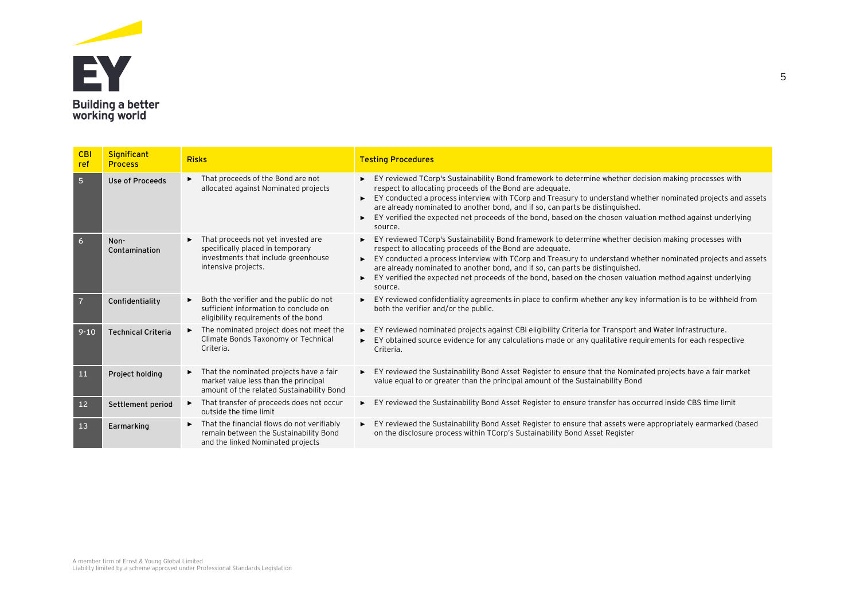

| CBI<br>ref     | <b>Significant</b><br><b>Process</b> | <b>Risks</b>                                                                                                                                       | <b>Testing Procedures</b>                                                                                                                                                                                                                                                                                                                                                                                                                                                                   |
|----------------|--------------------------------------|----------------------------------------------------------------------------------------------------------------------------------------------------|---------------------------------------------------------------------------------------------------------------------------------------------------------------------------------------------------------------------------------------------------------------------------------------------------------------------------------------------------------------------------------------------------------------------------------------------------------------------------------------------|
| 5 <sub>5</sub> | Use of Proceeds                      | That proceeds of the Bond are not<br>▶<br>allocated against Nominated projects                                                                     | EY reviewed TCorp's Sustainability Bond framework to determine whether decision making processes with<br>respect to allocating proceeds of the Bond are adequate.<br>EY conducted a process interview with TCorp and Treasury to understand whether nominated projects and assets<br>are already nominated to another bond, and if so, can parts be distinguished.<br>EY verified the expected net proceeds of the bond, based on the chosen valuation method against underlying<br>source. |
| 6              | Non-<br>Contamination                | That proceeds not yet invested are<br>specifically placed in temporary<br>investments that include greenhouse<br>intensive projects.               | EY reviewed TCorp's Sustainability Bond framework to determine whether decision making processes with<br>respect to allocating proceeds of the Bond are adequate.<br>EY conducted a process interview with TCorp and Treasury to understand whether nominated projects and assets<br>are already nominated to another bond, and if so, can parts be distinguished.<br>EY verified the expected net proceeds of the bond, based on the chosen valuation method against underlying<br>source. |
|                | Confidentiality                      | Both the verifier and the public do not<br>$\blacktriangleright$<br>sufficient information to conclude on<br>eligibility reguirements of the bond  | EY reviewed confidentiality agreements in place to confirm whether any key information is to be withheld from<br>both the verifier and/or the public.                                                                                                                                                                                                                                                                                                                                       |
| $9 - 10$       | <b>Technical Criteria</b>            | The nominated project does not meet the<br>$\blacktriangleright$<br>Climate Bonds Taxonomy or Technical<br>Criteria.                               | EY reviewed nominated projects against CBI eligibility Criteria for Transport and Water Infrastructure.<br>$\blacktriangleright$<br>EY obtained source evidence for any calculations made or any qualitative requirements for each respective<br>$\blacktriangleright$<br>Criteria.                                                                                                                                                                                                         |
| 11             | Project holding                      | That the nominated projects have a fair<br>▶<br>market value less than the principal<br>amount of the related Sustainability Bond                  | EY reviewed the Sustainability Bond Asset Register to ensure that the Nominated projects have a fair market<br>value equal to or greater than the principal amount of the Sustainability Bond                                                                                                                                                                                                                                                                                               |
| 12             | Settlement period                    | That transfer of proceeds does not occur<br>$\blacktriangleright$<br>outside the time limit                                                        | EY reviewed the Sustainability Bond Asset Register to ensure transfer has occurred inside CBS time limit                                                                                                                                                                                                                                                                                                                                                                                    |
| 13             | Earmarking                           | That the financial flows do not verifiably<br>$\blacktriangleright$<br>remain between the Sustainability Bond<br>and the linked Nominated projects | EY reviewed the Sustainability Bond Asset Register to ensure that assets were appropriately earmarked (based<br>on the disclosure process within TCorp's Sustainability Bond Asset Register                                                                                                                                                                                                                                                                                                 |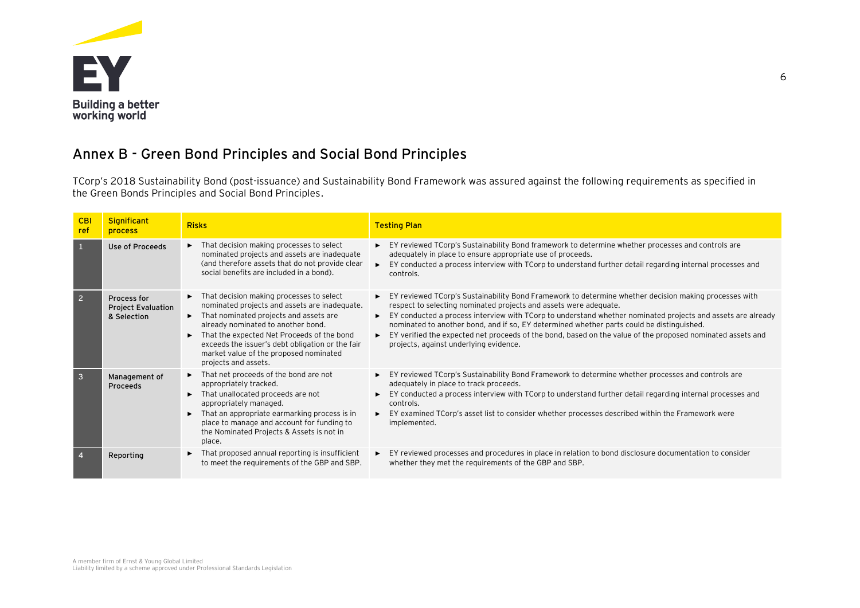

# **Annex B - Green Bond Principles and Social Bond Principles**

TCorp's 2018 Sustainability Bond (post-issuance) and Sustainability Bond Framework was assured against the following requirements as specified in the Green Bonds Principles and Social Bond Principles.

| <b>CBI</b><br>ref | <b>Significant</b><br><b>process</b>                    | <b>Risks</b>                                                                                                                                                                                                                                                                                                                                                              | <b>Testing Plan</b>                                                                                                                                                                                                                                                                                                                                                                                                                                                                                                                                                          |
|-------------------|---------------------------------------------------------|---------------------------------------------------------------------------------------------------------------------------------------------------------------------------------------------------------------------------------------------------------------------------------------------------------------------------------------------------------------------------|------------------------------------------------------------------------------------------------------------------------------------------------------------------------------------------------------------------------------------------------------------------------------------------------------------------------------------------------------------------------------------------------------------------------------------------------------------------------------------------------------------------------------------------------------------------------------|
| 1                 | Use of Proceeds                                         | $\blacktriangleright$ That decision making processes to select<br>nominated projects and assets are inadequate<br>(and therefore assets that do not provide clear<br>social benefits are included in a bond).                                                                                                                                                             | EY reviewed TCorp's Sustainability Bond framework to determine whether processes and controls are<br>adequately in place to ensure appropriate use of proceeds.<br>EY conducted a process interview with TCorp to understand further detail regarding internal processes and<br>ы<br>controls.                                                                                                                                                                                                                                                                               |
| $\overline{2}$    | Process for<br><b>Project Evaluation</b><br>& Selection | $\blacktriangleright$ That decision making processes to select<br>nominated projects and assets are inadequate.<br>That nominated projects and assets are<br>▶.<br>already nominated to another bond.<br>That the expected Net Proceeds of the bond<br>exceeds the issuer's debt obligation or the fair<br>market value of the proposed nominated<br>projects and assets. | EY reviewed TCorp's Sustainability Bond Framework to determine whether decision making processes with<br>respect to selecting nominated projects and assets were adequate.<br>EY conducted a process interview with TCorp to understand whether nominated projects and assets are already<br>►<br>nominated to another bond, and if so, EY determined whether parts could be distinguished.<br>EY verified the expected net proceeds of the bond, based on the value of the proposed nominated assets and<br>$\blacktriangleright$<br>projects, against underlying evidence. |
| $\overline{3}$    | Management of<br>Proceeds                               | That net proceeds of the bond are not<br>appropriately tracked.<br>That unallocated proceeds are not<br>appropriately managed.<br>That an appropriate earmarking process is in<br>$\blacktriangleright$<br>place to manage and account for funding to<br>the Nominated Projects & Assets is not in<br>place.                                                              | EY reviewed TCorp's Sustainability Bond Framework to determine whether processes and controls are<br>adequately in place to track proceeds.<br>EY conducted a process interview with TCorp to understand further detail regarding internal processes and<br>controls.<br>EY examined TCorp's asset list to consider whether processes described within the Framework were<br>$\blacktriangleright$<br>implemented.                                                                                                                                                           |
|                   | Reporting                                               | That proposed annual reporting is insufficient<br>▶<br>to meet the requirements of the GBP and SBP.                                                                                                                                                                                                                                                                       | EY reviewed processes and procedures in place in relation to bond disclosure documentation to consider<br>$\blacktriangleright$<br>whether they met the requirements of the GBP and SBP.                                                                                                                                                                                                                                                                                                                                                                                     |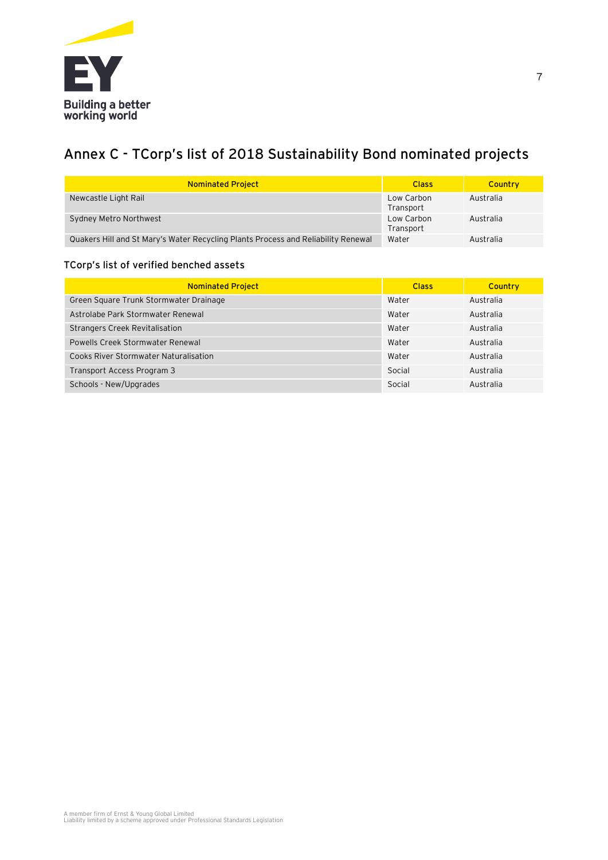

# **Annex C - TCorp's list of 2018 Sustainability Bond nominated projects**

| <b>Nominated Project</b>                                                          | <b>Class</b>            | Country   |
|-----------------------------------------------------------------------------------|-------------------------|-----------|
| Newcastle Light Rail                                                              | Low Carbon<br>Transport | Australia |
| Sydney Metro Northwest                                                            | Low Carbon<br>Transport | Australia |
| Quakers Hill and St Mary's Water Recycling Plants Process and Reliability Renewal | Water                   | Australia |

### **TCorp's list of verified benched assets**

| <b>Nominated Project</b>                     | <b>Class</b> | Country   |
|----------------------------------------------|--------------|-----------|
| Green Square Trunk Stormwater Drainage       | Water        | Australia |
| Astrolabe Park Stormwater Renewal            | Water        | Australia |
| <b>Strangers Creek Revitalisation</b>        | Water        | Australia |
| Powells Creek Stormwater Renewal             | Water        | Australia |
| <b>Cooks River Stormwater Naturalisation</b> | Water        | Australia |
| Transport Access Program 3                   | Social       | Australia |
| Schools - New/Upgrades                       | Social       | Australia |